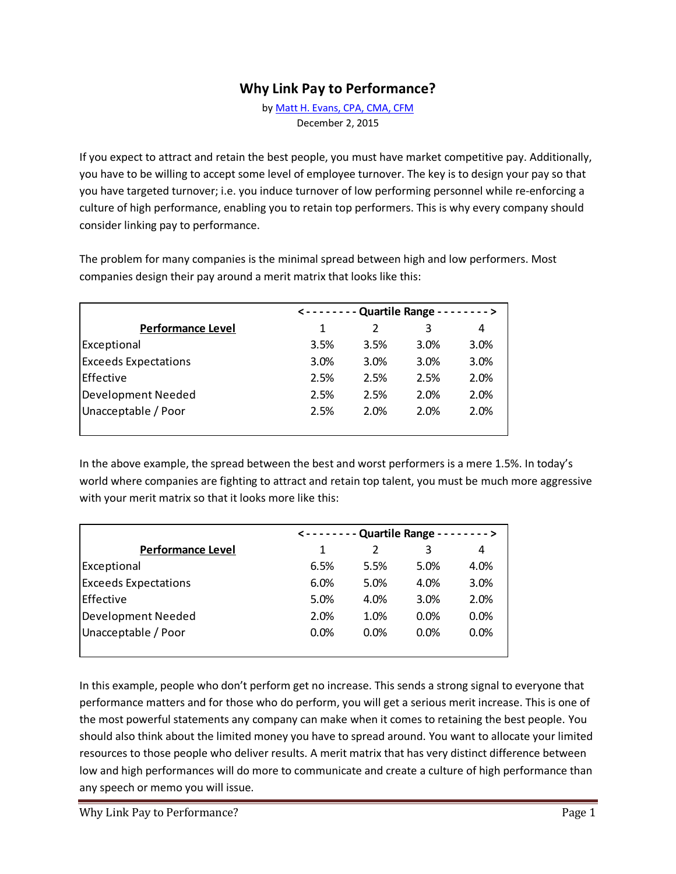## **Why Link Pay to Performance?**

b[y Matt H. Evans, CPA, CMA, CFM](mailto:matt@exinfm.com?subject=Re:%20Linking%20Pay%20to%20Performance%20Article) December 2, 2015

If you expect to attract and retain the best people, you must have market competitive pay. Additionally, you have to be willing to accept some level of employee turnover. The key is to design your pay so that you have targeted turnover; i.e. you induce turnover of low performing personnel while re-enforcing a culture of high performance, enabling you to retain top performers. This is why every company should consider linking pay to performance.

The problem for many companies is the minimal spread between high and low performers. Most companies design their pay around a merit matrix that looks like this:

|                             | <------- Quartile Range --------> |      |      |      |  |
|-----------------------------|-----------------------------------|------|------|------|--|
| <b>Performance Level</b>    | 1                                 | 2    | 3    | 4    |  |
| Exceptional                 | 3.5%                              | 3.5% | 3.0% | 3.0% |  |
| <b>Exceeds Expectations</b> | 3.0%                              | 3.0% | 3.0% | 3.0% |  |
| Effective                   | 2.5%                              | 2.5% | 2.5% | 2.0% |  |
| Development Needed          | 2.5%                              | 2.5% | 2.0% | 2.0% |  |
| Unacceptable / Poor         | 2.5%                              | 2.0% | 2.0% | 2.0% |  |
|                             |                                   |      |      |      |  |

In the above example, the spread between the best and worst performers is a mere 1.5%. In today's world where companies are fighting to attract and retain top talent, you must be much more aggressive with your merit matrix so that it looks more like this:

|                             | <------- Quartile Range --------> |               |      |      |  |
|-----------------------------|-----------------------------------|---------------|------|------|--|
| <b>Performance Level</b>    | 1                                 | $\mathcal{P}$ | 3    | 4    |  |
| Exceptional                 | 6.5%                              | 5.5%          | 5.0% | 4.0% |  |
| <b>Exceeds Expectations</b> | 6.0%                              | 5.0%          | 4.0% | 3.0% |  |
| Effective                   | 5.0%                              | 4.0%          | 3.0% | 2.0% |  |
| Development Needed          | 2.0%                              | 1.0%          | 0.0% | 0.0% |  |
| Unacceptable / Poor         | 0.0%                              | 0.0%          | 0.0% | 0.0% |  |
|                             |                                   |               |      |      |  |

In this example, people who don't perform get no increase. This sends a strong signal to everyone that performance matters and for those who do perform, you will get a serious merit increase. This is one of the most powerful statements any company can make when it comes to retaining the best people. You should also think about the limited money you have to spread around. You want to allocate your limited resources to those people who deliver results. A merit matrix that has very distinct difference between low and high performances will do more to communicate and create a culture of high performance than any speech or memo you will issue.